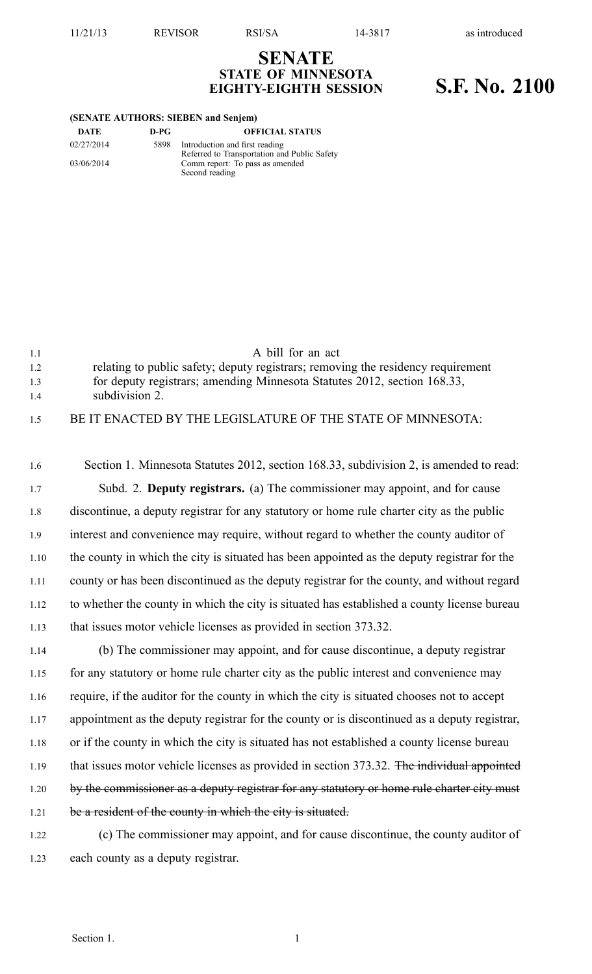11/21/13 REVISOR RSI/SA 14-3817 as introduced

## **SENATE STATE OF MINNESOTA EIGHTY-EIGHTH SESSION S.F. No. 2100**

| (SENATE AUTHORS: SIEBEN and Senjem) |  |  |
|-------------------------------------|--|--|
|-------------------------------------|--|--|

| DATE       | D-PG | <b>OFFICIAL STATUS</b>                       |
|------------|------|----------------------------------------------|
| 02/27/2014 | 5898 | Introduction and first reading               |
|            |      | Referred to Transportation and Public Safety |
| 03/06/2014 |      | Comm report: To pass as amended              |
|            |      | Second reading                               |

| 11  | A bill for an act                                                                |
|-----|----------------------------------------------------------------------------------|
| 1.2 | relating to public safety; deputy registrars; removing the residency requirement |
| 1.3 | for deputy registrars; amending Minnesota Statutes 2012, section 168.33,         |
| 14  | subdivision 2.                                                                   |
| 1.5 | BE IT ENACTED BY THE LEGISLATURE OF THE STATE OF MINNESOTA:                      |

1.6 Section 1. Minnesota Statutes 2012, section 168.33, subdivision 2, is amended to read: 1.7 Subd. 2. **Deputy registrars.** (a) The commissioner may appoint, and for cause 1.8 discontinue, <sup>a</sup> deputy registrar for any statutory or home rule charter city as the public 1.9 interest and convenience may require, without regard to whether the county auditor of 1.10 the county in which the city is situated has been appointed as the deputy registrar for the 1.11 county or has been discontinued as the deputy registrar for the county, and without regard 1.12 to whether the county in which the city is situated has established <sup>a</sup> county license bureau 1.13 that issues motor vehicle licenses as provided in section 373.32.

1.14 (b) The commissioner may appoint, and for cause discontinue, <sup>a</sup> deputy registrar 1.15 for any statutory or home rule charter city as the public interest and convenience may 1.16 require, if the auditor for the county in which the city is situated chooses not to accep<sup>t</sup> 1.17 appointment as the deputy registrar for the county or is discontinued as <sup>a</sup> deputy registrar, 1.18 or if the county in which the city is situated has not established <sup>a</sup> county license bureau 1.19 that issues motor vehicle licenses as provided in section 373.32. The individual appointed 1.20 by the commissioner as a deputy registrar for any statutory or home rule charter city must 1.21 be a resident of the county in which the city is situated.

1.22 (c) The commissioner may appoint, and for cause discontinue, the county auditor of 1.23 each county as <sup>a</sup> deputy registrar.